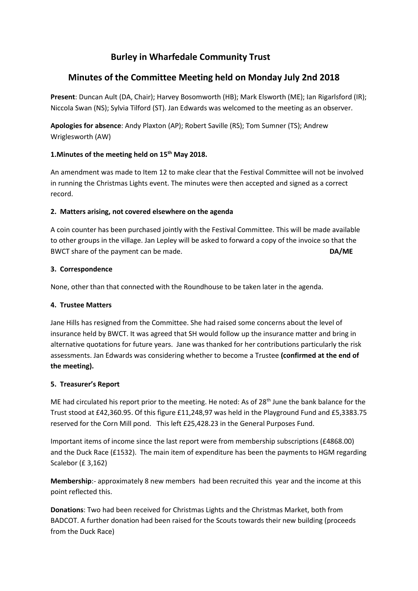# **Burley in Wharfedale Community Trust**

# **Minutes of the Committee Meeting held on Monday July 2nd 2018**

**Present**: Duncan Ault (DA, Chair); Harvey Bosomworth (HB); Mark Elsworth (ME); Ian Rigarlsford (IR); Niccola Swan (NS); Sylvia Tilford (ST). Jan Edwards was welcomed to the meeting as an observer.

**Apologies for absence**: Andy Plaxton (AP); Robert Saville (RS); Tom Sumner (TS); Andrew Wriglesworth (AW)

# **1.Minutes of the meeting held on 15th May 2018.**

An amendment was made to Item 12 to make clear that the Festival Committee will not be involved in running the Christmas Lights event. The minutes were then accepted and signed as a correct record.

# **2. Matters arising, not covered elsewhere on the agenda**

A coin counter has been purchased jointly with the Festival Committee. This will be made available to other groups in the village. Jan Lepley will be asked to forward a copy of the invoice so that the BWCT share of the payment can be made. **DA/ME**

# **3. Correspondence**

None, other than that connected with the Roundhouse to be taken later in the agenda.

# **4. Trustee Matters**

Jane Hills has resigned from the Committee. She had raised some concerns about the level of insurance held by BWCT. It was agreed that SH would follow up the insurance matter and bring in alternative quotations for future years. Jane was thanked for her contributions particularly the risk assessments. Jan Edwards was considering whether to become a Trustee **(confirmed at the end of the meeting).**

# **5. Treasurer's Report**

ME had circulated his report prior to the meeting. He noted: As of 28<sup>th</sup> June the bank balance for the Trust stood at £42,360.95. Of this figure £11,248,97 was held in the Playground Fund and £5,3383.75 reserved for the Corn Mill pond. This left £25,428.23 in the General Purposes Fund.

Important items of income since the last report were from membership subscriptions (£4868.00) and the Duck Race (£1532). The main item of expenditure has been the payments to HGM regarding Scalebor (£ 3,162)

**Membership**:- approximately 8 new members had been recruited this year and the income at this point reflected this.

**Donations**: Two had been received for Christmas Lights and the Christmas Market, both from BADCOT. A further donation had been raised for the Scouts towards their new building (proceeds from the Duck Race)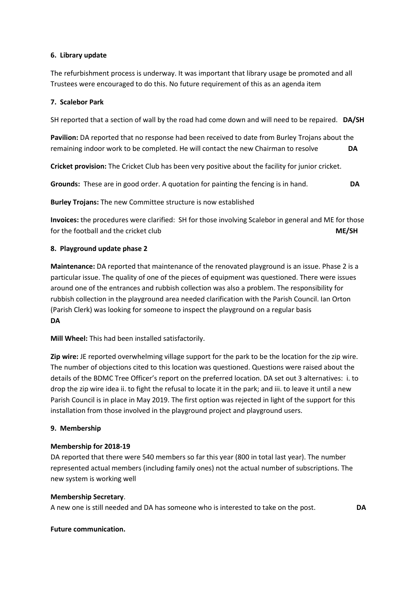#### **6. Library update**

The refurbishment process is underway. It was important that library usage be promoted and all Trustees were encouraged to do this. No future requirement of this as an agenda item

#### **7. Scalebor Park**

SH reported that a section of wall by the road had come down and will need to be repaired. **DA/SH**

**Pavilion:** DA reported that no response had been received to date from Burley Trojans about the remaining indoor work to be completed. He will contact the new Chairman to resolve **DA**

**Cricket provision:** The Cricket Club has been very positive about the facility for junior cricket.

**Grounds:** These are in good order. A quotation for painting the fencing is in hand. **DA**

**Burley Trojans:** The new Committee structure is now established

**Invoices:** the procedures were clarified: SH for those involving Scalebor in general and ME for those for the football and the cricket club **ME/SH**

## **8. Playground update phase 2**

**Maintenance:** DA reported that maintenance of the renovated playground is an issue. Phase 2 is a particular issue. The quality of one of the pieces of equipment was questioned. There were issues around one of the entrances and rubbish collection was also a problem. The responsibility for rubbish collection in the playground area needed clarification with the Parish Council. Ian Orton (Parish Clerk) was looking for someone to inspect the playground on a regular basis **DA**

**Mill Wheel:** This had been installed satisfactorily.

**Zip wire:** JE reported overwhelming village support for the park to be the location for the zip wire. The number of objections cited to this location was questioned. Questions were raised about the details of the BDMC Tree Officer's report on the preferred location. DA set out 3 alternatives: i. to drop the zip wire idea ii. to fight the refusal to locate it in the park; and iii. to leave it until a new Parish Council is in place in May 2019. The first option was rejected in light of the support for this installation from those involved in the playground project and playground users.

#### **9. Membership**

#### **Membership for 2018-19**

DA reported that there were 540 members so far this year (800 in total last year). The number represented actual members (including family ones) not the actual number of subscriptions. The new system is working well

#### **Membership Secretary**.

A new one is still needed and DA has someone who is interested to take on the post. **DA**

#### **Future communication.**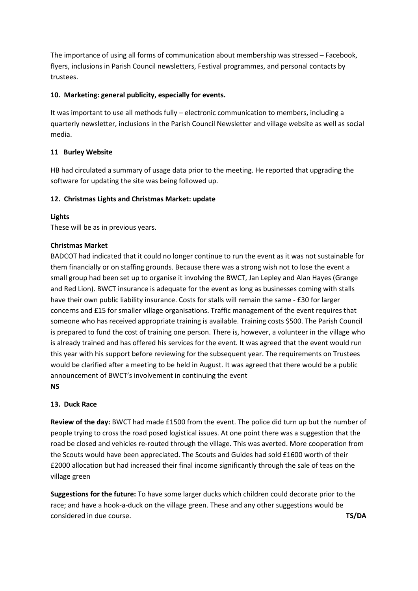The importance of using all forms of communication about membership was stressed – Facebook, flyers, inclusions in Parish Council newsletters, Festival programmes, and personal contacts by trustees.

# **10. Marketing: general publicity, especially for events.**

It was important to use all methods fully – electronic communication to members, including a quarterly newsletter, inclusions in the Parish Council Newsletter and village website as well as social media.

# **11 Burley Website**

HB had circulated a summary of usage data prior to the meeting. He reported that upgrading the software for updating the site was being followed up.

# **12. Christmas Lights and Christmas Market: update**

## **Lights**

These will be as in previous years.

## **Christmas Market**

BADCOT had indicated that it could no longer continue to run the event as it was not sustainable for them financially or on staffing grounds. Because there was a strong wish not to lose the event a small group had been set up to organise it involving the BWCT, Jan Lepley and Alan Hayes (Grange and Red Lion). BWCT insurance is adequate for the event as long as businesses coming with stalls have their own public liability insurance. Costs for stalls will remain the same - £30 for larger concerns and £15 for smaller village organisations. Traffic management of the event requires that someone who has received appropriate training is available. Training costs \$500. The Parish Council is prepared to fund the cost of training one person. There is, however, a volunteer in the village who is already trained and has offered his services for the event. It was agreed that the event would run this year with his support before reviewing for the subsequent year. The requirements on Trustees would be clarified after a meeting to be held in August. It was agreed that there would be a public announcement of BWCT's involvement in continuing the event **NS**

#### **13. Duck Race**

**Review of the day:** BWCT had made £1500 from the event. The police did turn up but the number of people trying to cross the road posed logistical issues. At one point there was a suggestion that the road be closed and vehicles re-routed through the village. This was averted. More cooperation from the Scouts would have been appreciated. The Scouts and Guides had sold £1600 worth of their £2000 allocation but had increased their final income significantly through the sale of teas on the village green

**Suggestions for the future:** To have some larger ducks which children could decorate prior to the race; and have a hook-a-duck on the village green. These and any other suggestions would be considered in due course. **TS/DA**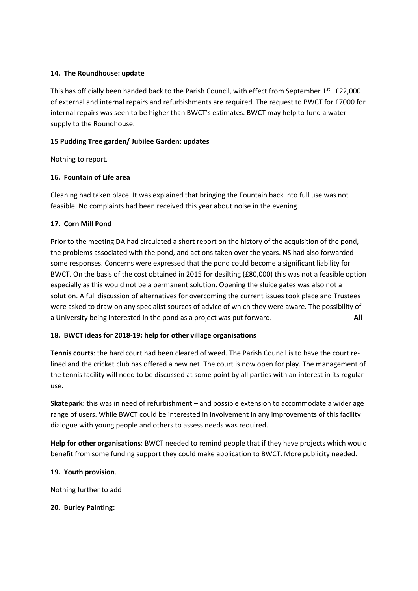## **14. The Roundhouse: update**

This has officially been handed back to the Parish Council, with effect from September 1<sup>st</sup>. £22,000 of external and internal repairs and refurbishments are required. The request to BWCT for £7000 for internal repairs was seen to be higher than BWCT's estimates. BWCT may help to fund a water supply to the Roundhouse.

## **15 Pudding Tree garden/ Jubilee Garden: updates**

Nothing to report.

## **16. Fountain of Life area**

Cleaning had taken place. It was explained that bringing the Fountain back into full use was not feasible. No complaints had been received this year about noise in the evening.

## **17. Corn Mill Pond**

Prior to the meeting DA had circulated a short report on the history of the acquisition of the pond, the problems associated with the pond, and actions taken over the years. NS had also forwarded some responses. Concerns were expressed that the pond could become a significant liability for BWCT. On the basis of the cost obtained in 2015 for desilting (£80,000) this was not a feasible option especially as this would not be a permanent solution. Opening the sluice gates was also not a solution. A full discussion of alternatives for overcoming the current issues took place and Trustees were asked to draw on any specialist sources of advice of which they were aware. The possibility of a University being interested in the pond as a project was put forward. **All**

# **18. BWCT ideas for 2018-19: help for other village organisations**

**Tennis courts**: the hard court had been cleared of weed. The Parish Council is to have the court relined and the cricket club has offered a new net. The court is now open for play. The management of the tennis facility will need to be discussed at some point by all parties with an interest in its regular use.

**Skatepark:** this was in need of refurbishment – and possible extension to accommodate a wider age range of users. While BWCT could be interested in involvement in any improvements of this facility dialogue with young people and others to assess needs was required.

**Help for other organisations**: BWCT needed to remind people that if they have projects which would benefit from some funding support they could make application to BWCT. More publicity needed.

#### **19. Youth provision**.

Nothing further to add

#### **20. Burley Painting:**